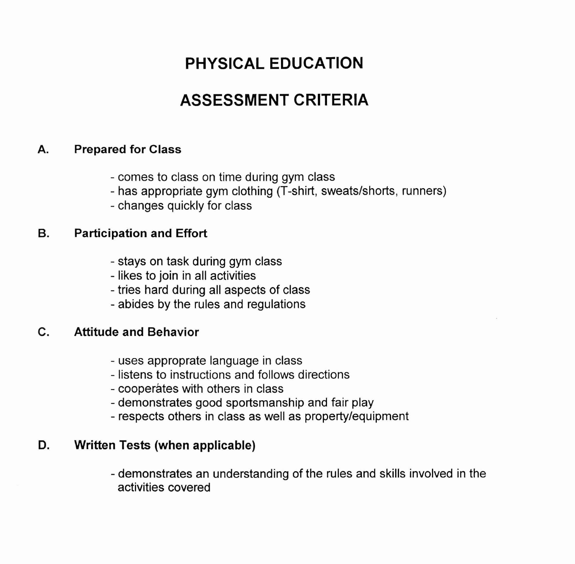## **PHYSICAL EDUCATION**

## **ASSESSMENT CRITERIA**

#### **A. Prepared for Class**

- comes to class on time during gym class
- has appropriate gym clothing (T-shirt, sweatslshorts, runners)
- changes quickly for class

### **B. Participation and Effort**

- stays on task during gym class
- likes to join in all activities
- tries hard during all aspects of class
- abides by the rules and regulations

## **C. Attitude and Behavior**

- uses approprate language in class
- listens to instructions and follows directions
- cooperates with others in class
- demonstrates good sportsmanship and fair play
- respects others in class as well as propertylequipment

#### **D. Written Tests (when applicable)**

- demonstrates an understanding of the rules and skills involved in the activities covered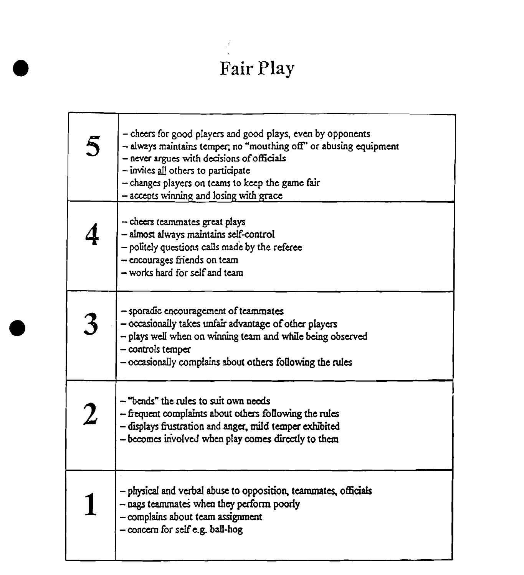# Fair Play

 $\frac{1}{2}$ 

| 5                | - cheers for good players and good plays, even by opponents<br>- always maintains temper, no "mouthing off" or abusing equipment<br>- never argues with decisions of officials<br>$-$ invites all others to participate<br>- changes players on teams to keep the game fair<br>- accepts winning and losing with grace |
|------------------|------------------------------------------------------------------------------------------------------------------------------------------------------------------------------------------------------------------------------------------------------------------------------------------------------------------------|
|                  | - cheers teammates great plays<br>- almost always maintains self-control<br>- politely questions calls made by the referee<br>- encourages friends on team<br>- works hard for self and team                                                                                                                           |
|                  | - sporadic encouragement of teammates<br>- occasionally takes unfair advantage of other players<br>- plays well when on winning team and while being observed<br>- controls temper<br>- occasionally complains about others following the rules                                                                        |
| $\boldsymbol{2}$ | - "bends" the rules to suit own needs<br>$-$ frequent complaints about others following the rules<br>- displays frustration and anger, mild temper exhibited<br>- becomes involved when play comes directly to them                                                                                                    |
|                  | - physical and verbal abuse to opposition, teammates, officials<br>$-$ nags teammates when they perform poorly<br>- complains about team assignment<br>- concern for self e.g. ball-hog                                                                                                                                |